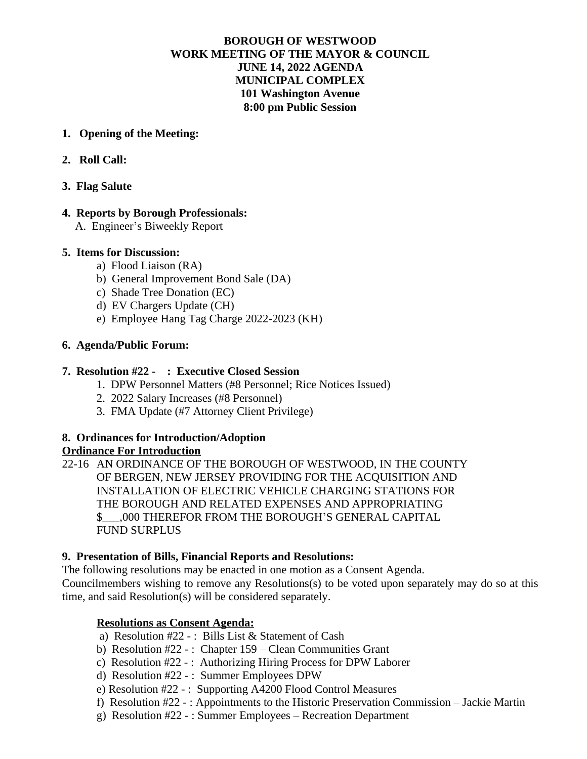# **BOROUGH OF WESTWOOD WORK MEETING OF THE MAYOR & COUNCIL JUNE 14, 2022 AGENDA MUNICIPAL COMPLEX 101 Washington Avenue 8:00 pm Public Session**

### **1. Opening of the Meeting:**

# **2. Roll Call:**

### **3. Flag Salute**

### **4. Reports by Borough Professionals:**

A. Engineer's Biweekly Report

### **5. Items for Discussion:**

- a) Flood Liaison (RA)
- b) General Improvement Bond Sale (DA)
- c) Shade Tree Donation (EC)
- d) EV Chargers Update (CH)
- e) Employee Hang Tag Charge 2022-2023 (KH)

### **6. Agenda/Public Forum:**

### **7. Resolution #22 - : Executive Closed Session**

- 1. DPW Personnel Matters (#8 Personnel; Rice Notices Issued)
- 2. 2022 Salary Increases (#8 Personnel)
- 3. FMA Update (#7 Attorney Client Privilege)

#### **8. Ordinances for Introduction/Adoption Ordinance For Introduction**

22-16 AN ORDINANCE OF THE BOROUGH OF WESTWOOD, IN THE COUNTY OF BERGEN, NEW JERSEY PROVIDING FOR THE ACQUISITION AND INSTALLATION OF ELECTRIC VEHICLE CHARGING STATIONS FOR THE BOROUGH AND RELATED EXPENSES AND APPROPRIATING \$\_\_\_,000 THEREFOR FROM THE BOROUGH'S GENERAL CAPITAL FUND SURPLUS

# **9. Presentation of Bills, Financial Reports and Resolutions:**

The following resolutions may be enacted in one motion as a Consent Agenda.

Councilmembers wishing to remove any Resolutions(s) to be voted upon separately may do so at this time, and said Resolution(s) will be considered separately.

# **Resolutions as Consent Agenda:**

- a) Resolution #22 -: Bills List & Statement of Cash
- b) Resolution #22 : Chapter 159 Clean Communities Grant
- c) Resolution #22 -: Authorizing Hiring Process for DPW Laborer
- d) Resolution #22 : Summer Employees DPW
- e) Resolution #22 : Supporting A4200 Flood Control Measures
- f) Resolution #22 : Appointments to the Historic Preservation Commission Jackie Martin
- g) Resolution #22 : Summer Employees Recreation Department